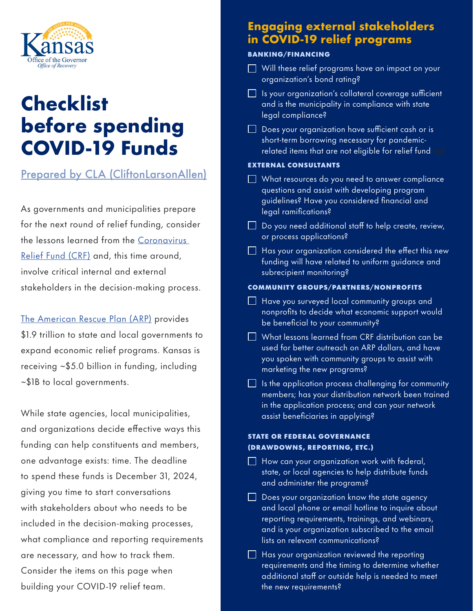

# **Checklist before spending COVID-19 Funds**

# [Prepared by CLA \(CliftonLarsonAllen\)](https://www.claconnect.com/resources/articles/2021/covid19-relief-funds-spending-checklist?utm_campaign=State%20and%20Local%20Government&utm_medium=email&_hsmi=128674947&_hsenc=p2ANqtz-9L9cGmaIPyemU5I89fbyl7wc1-B4KmQapM6J8wo98hPce7XdemLZgt8Z_YfONC2kVykKU31aBKM5EZVVuq9HKjTkcuQA&utm_content=128674947&utm_source=hs_email)

As governments and municipalities prepare for the next round of relief funding, consider the lessons learned from the [Coronavirus](https://www.claconnect.com/resources/articles/2021/new-covid19-package-brings-relief-to-state-and-local-governments)  [Relief Fund \(CRF\)](https://www.claconnect.com/resources/articles/2021/new-covid19-package-brings-relief-to-state-and-local-governments) and, this time around, involve critical internal and external stakeholders in the decision-making process.

[The American Rescue Plan \(ARP\)](https://www.claconnect.com/resources/articles/2021/american-rescue-plan-act-evaluating-the-impact-on-states-and-governments) provides \$1.9 trillion to state and local governments to expand economic relief programs. Kansas is receiving ~\$5.0 billion in funding, including ~\$1B to local governments.

While state agencies, local municipalities, and organizations decide effective ways this funding can help constituents and members, one advantage exists: time. The deadline to spend these funds is December 31, 2024, giving you time to start conversations with stakeholders about who needs to be included in the decision-making processes, what compliance and reporting requirements are necessary, and how to track them. Consider the items on this page when building your COVID-19 relief team.

# **Engaging external stakeholders in COVID-19 relief programs**

## BANKING/FINANCING

- $\Box$  Will these relief programs have an impact on your organization's bond rating?
- $\Box$  Is your organization's collateral coverage sufficient and is the municipality in compliance with state legal compliance?
- $\Box$  Does your organization have sufficient cash or is short-term borrowing necessary for pandemicrelated items that are not eligible for relief fund

### EXTERNAL CONSULTANTS

- $\Box$  What resources do you need to answer compliance questions and assist with developing program guidelines? Have you considered financial and legal ramifications?
- $\Box$  Do you need additional staff to help create, review, or process applications?
- $\Box$  Has your organization considered the effect this new funding will have related to uniform guidance and subrecipient monitoring?

### COMMUNITY GROUPS/PARTNERS/NONPROFITS

- $\Box$  Have you surveyed local community groups and nonprofits to decide what economic support would be beneficial to your community?
- $\Box$  What lessons learned from CRF distribution can be used for better outreach on ARP dollars, and have you spoken with community groups to assist with marketing the new programs?
- $\Box$  Is the application process challenging for community members; has your distribution network been trained in the application process; and can your network assist beneficiaries in applying?

# STATE OR FEDERAL GOVERNANCE (DRAWDOWNS, REPORTING, ETC.)

- $\Box$  How can your organization work with federal, state, or local agencies to help distribute funds and administer the programs?
- $\Box$  Does your organization know the state agency and local phone or email hotline to inquire about reporting requirements, trainings, and webinars, and is your organization subscribed to the email lists on relevant communications?
- $\Box$  Has your organization reviewed the reporting requirements and the timing to determine whether additional staff or outside help is needed to meet the new requirements?